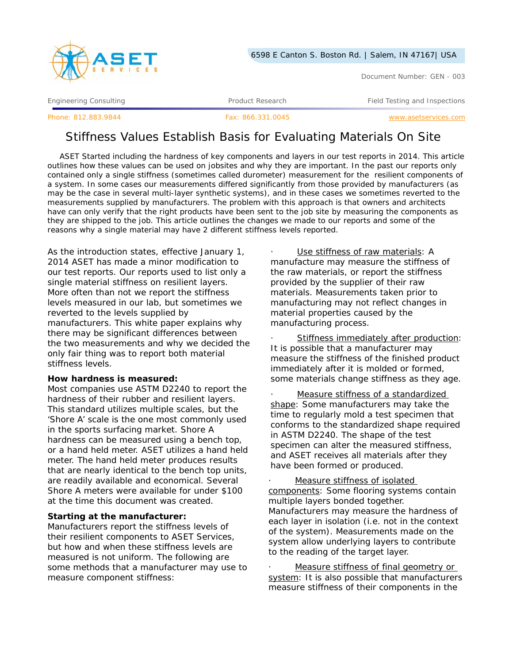

Document Number: GEN - 003

Engineering Consulting Testing According Product Research Testing and Inspections Product Research Field Testing and Inspections

Phone: 812.883.9844 Fax: 866.331.0045 www.asetservices.com

# Stiffness Values Establish Basis for Evaluating Materials On Site

ASET Started including the hardness of key components and layers in our test reports in 2014. This article outlines how these values can be used on jobsites and why they are important. In the past our reports only contained only a single stiffness (sometimes called durometer) measurement for the resilient components of a system. In some cases our measurements differed significantly from those provided by manufacturers (as may be the case in several multi-layer synthetic systems), and in these cases we sometimes reverted to the measurements supplied by manufacturers. The problem with this approach is that owners and architects have can only verify that the right products have been sent to the job site by measuring the components as they are shipped to the job. This article outlines the changes we made to our reports and some of the reasons why a single material may have 2 different stiffness levels reported.

As the introduction states, effective January 1, 2014 ASET has made a minor modification to our test reports. Our reports used to list only a single material stiffness on resilient layers. More often than not we report the stiffness levels measured in our lab, but sometimes we reverted to the levels supplied by manufacturers. This white paper explains why there may be significant differences between the two measurements and why we decided the only fair thing was to report both material stiffness levels.

### **How hardness is measured:**

Most companies use ASTM D2240 to report the hardness of their rubber and resilient layers. This standard utilizes multiple scales, but the 'Shore A' scale is the one most commonly used in the sports surfacing market. Shore A hardness can be measured using a bench top, or a hand held meter. ASET utilizes a hand held meter. The hand held meter produces results that are nearly identical to the bench top units, are readily available and economical. Several Shore A meters were available for under \$100 at the time this document was created.

# **Starting at the manufacturer:**

Manufacturers report the stiffness levels of their resilient components to ASET Services, but how and when these stiffness levels are measured is not uniform. The following are some methods that a manufacturer may use to measure component stiffness:

Use stiffness of raw materials: A manufacture may measure the stiffness of the raw materials, or report the stiffness provided by the supplier of their raw materials. Measurements taken prior to manufacturing may not reflect changes in material properties caused by the manufacturing process.

Stiffness immediately after production: It is possible that a manufacturer may measure the stiffness of the finished product immediately after it is molded or formed, some materials change stiffness as they age.

Measure stiffness of a standardized shape: Some manufacturers may take the time to regularly mold a test specimen that conforms to the standardized shape required in ASTM D2240. The shape of the test specimen can alter the measured stiffness, and ASET receives all materials after they have been formed or produced.

Measure stiffness of isolated components: Some flooring systems contain multiple layers bonded together. Manufacturers may measure the hardness of each layer in isolation (i.e. not in the context of the system). Measurements made on the system allow underlying layers to contribute to the reading of the target layer.

Measure stiffness of final geometry or system: It is also possible that manufacturers measure stiffness of their components in the